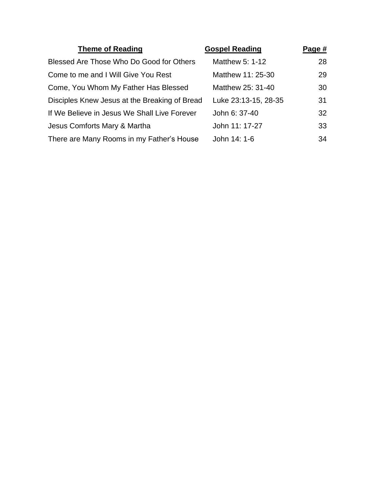| <b>Theme of Reading</b>                       | <b>Gospel Reading</b> | Page # |
|-----------------------------------------------|-----------------------|--------|
| Blessed Are Those Who Do Good for Others      | Matthew 5: 1-12       | 28     |
| Come to me and I Will Give You Rest           | Matthew 11: 25-30     | 29     |
| Come, You Whom My Father Has Blessed          | Matthew 25: 31-40     | 30     |
| Disciples Knew Jesus at the Breaking of Bread | Luke 23:13-15, 28-35  | 31     |
| If We Believe in Jesus We Shall Live Forever  | John 6: 37-40         | 32     |
| Jesus Comforts Mary & Martha                  | John 11: 17-27        | 33     |
| There are Many Rooms in my Father's House     | John 14: 1-6          | 34     |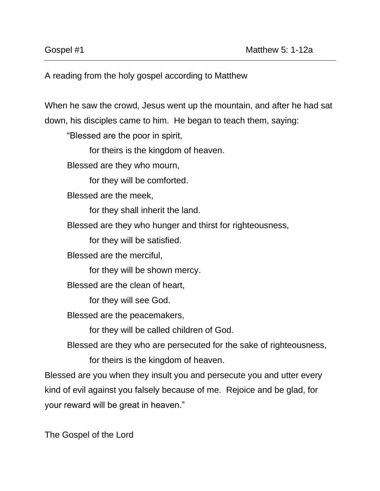A reading from the holy gospel according to Matthew

When he saw the crowd, Jesus went up the mountain, and after he had sat down, his disciples came to him. He began to teach them, saying:

"Blessed are the poor in spirit,

for theirs is the kingdom of heaven.

Blessed are they who mourn,

for they will be comforted.

Blessed are the meek,

for they shall inherit the land.

Blessed are they who hunger and thirst for righteousness,

for they will be satisfied.

Blessed are the merciful,

for they will be shown mercy.

Blessed are the clean of heart,

for they will see God.

Blessed are the peacemakers,

for they will be called children of God.

Blessed are they who are persecuted for the sake of righteousness, for theirs is the kingdom of heaven.

Blessed are you when they insult you and persecute you and utter every kind of evil against you falsely because of me. Rejoice and be glad, for your reward will be great in heaven."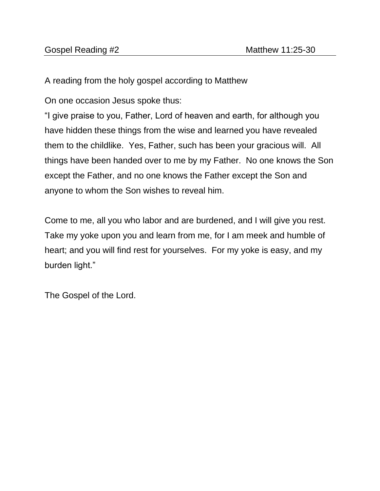A reading from the holy gospel according to Matthew

On one occasion Jesus spoke thus:

"I give praise to you, Father, Lord of heaven and earth, for although you have hidden these things from the wise and learned you have revealed them to the childlike. Yes, Father, such has been your gracious will. All things have been handed over to me by my Father. No one knows the Son except the Father, and no one knows the Father except the Son and anyone to whom the Son wishes to reveal him.

Come to me, all you who labor and are burdened, and I will give you rest. Take my yoke upon you and learn from me, for I am meek and humble of heart; and you will find rest for yourselves. For my yoke is easy, and my burden light."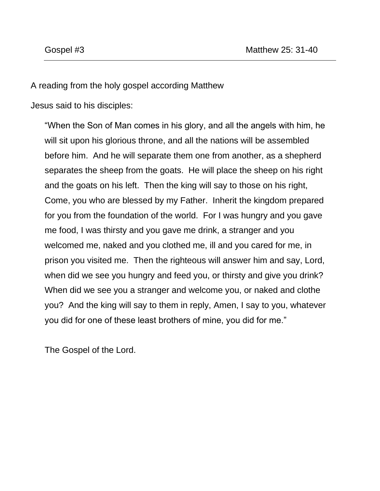A reading from the holy gospel according Matthew

Jesus said to his disciples:

"When the Son of Man comes in his glory, and all the angels with him, he will sit upon his glorious throne, and all the nations will be assembled before him. And he will separate them one from another, as a shepherd separates the sheep from the goats. He will place the sheep on his right and the goats on his left. Then the king will say to those on his right, Come, you who are blessed by my Father. Inherit the kingdom prepared for you from the foundation of the world. For I was hungry and you gave me food, I was thirsty and you gave me drink, a stranger and you welcomed me, naked and you clothed me, ill and you cared for me, in prison you visited me. Then the righteous will answer him and say, Lord, when did we see you hungry and feed you, or thirsty and give you drink? When did we see you a stranger and welcome you, or naked and clothe you? And the king will say to them in reply, Amen, I say to you, whatever you did for one of these least brothers of mine, you did for me."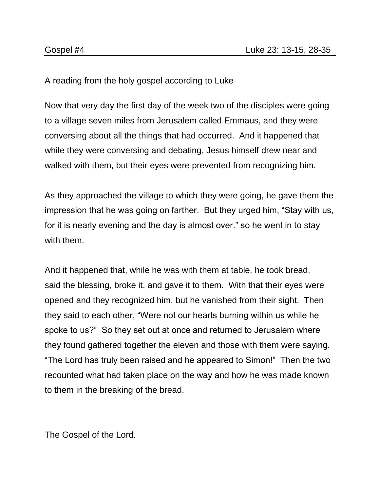A reading from the holy gospel according to Luke

Now that very day the first day of the week two of the disciples were going to a village seven miles from Jerusalem called Emmaus, and they were conversing about all the things that had occurred. And it happened that while they were conversing and debating, Jesus himself drew near and walked with them, but their eyes were prevented from recognizing him.

As they approached the village to which they were going, he gave them the impression that he was going on farther. But they urged him, "Stay with us, for it is nearly evening and the day is almost over." so he went in to stay with them.

And it happened that, while he was with them at table, he took bread, said the blessing, broke it, and gave it to them. With that their eyes were opened and they recognized him, but he vanished from their sight. Then they said to each other, "Were not our hearts burning within us while he spoke to us?" So they set out at once and returned to Jerusalem where they found gathered together the eleven and those with them were saying. "The Lord has truly been raised and he appeared to Simon!" Then the two recounted what had taken place on the way and how he was made known to them in the breaking of the bread.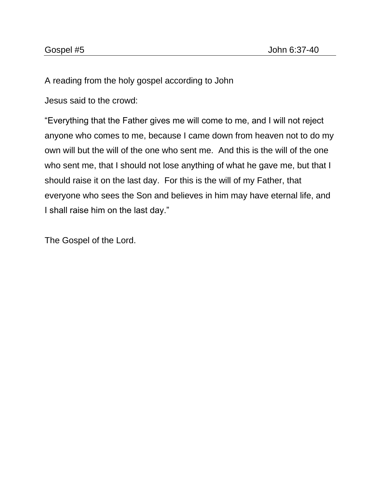A reading from the holy gospel according to John

Jesus said to the crowd:

"Everything that the Father gives me will come to me, and I will not reject anyone who comes to me, because I came down from heaven not to do my own will but the will of the one who sent me. And this is the will of the one who sent me, that I should not lose anything of what he gave me, but that I should raise it on the last day. For this is the will of my Father, that everyone who sees the Son and believes in him may have eternal life, and I shall raise him on the last day."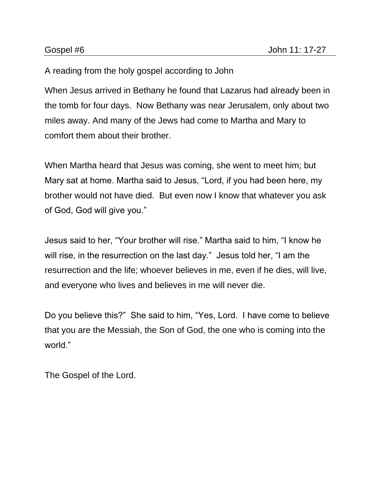## A reading from the holy gospel according to John

When Jesus arrived in Bethany he found that Lazarus had already been in the tomb for four days. Now Bethany was near Jerusalem, only about two miles away. And many of the Jews had come to Martha and Mary to comfort them about their brother.

When Martha heard that Jesus was coming, she went to meet him; but Mary sat at home. Martha said to Jesus, "Lord, if you had been here, my brother would not have died. But even now I know that whatever you ask of God, God will give you."

Jesus said to her, "Your brother will rise." Martha said to him, "I know he will rise, in the resurrection on the last day." Jesus told her, "I am the resurrection and the life; whoever believes in me, even if he dies, will live, and everyone who lives and believes in me will never die.

Do you believe this?" She said to him, "Yes, Lord. I have come to believe that you are the Messiah, the Son of God, the one who is coming into the world."